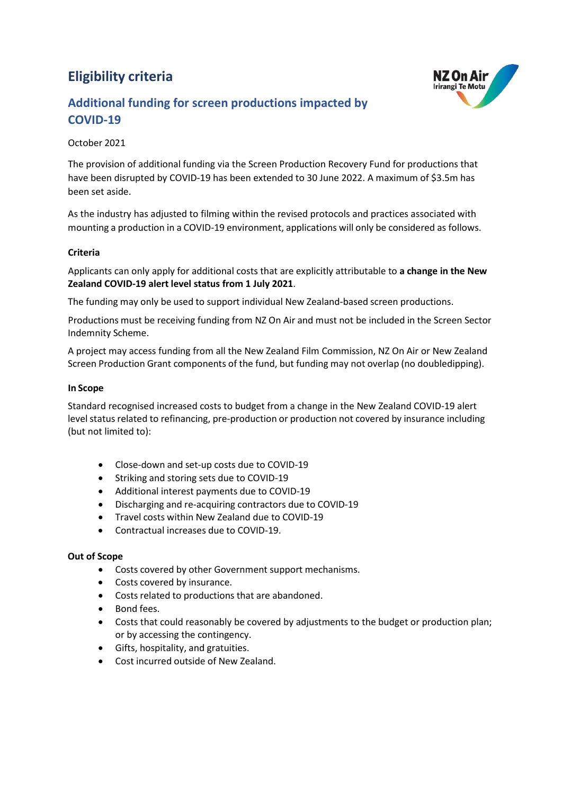# **Eligibility criteria**



## **Additional funding for screen productions impacted by COVID-19**

### October 2021

The provision of additional funding via the Screen Production Recovery Fund for productions that have been disrupted by COVID-19 has been extended to 30 June 2022. A maximum of \$3.5m has been set aside.

As the industry has adjusted to filming within the revised protocols and practices associated with mounting a production in a COVID-19 environment, applications will only be considered as follows.

#### **Criteria**

Applicants can only apply for additional costs that are explicitly attributable to **a change in the New Zealand COVID-19 alert level status from 1 July 2021**.

The funding may only be used to support individual New Zealand-based screen productions.

Productions must be receiving funding from NZ On Air and must not be included in the Screen Sector Indemnity Scheme.

A project may access funding from all the New Zealand Film Commission, NZ On Air or New Zealand Screen Production Grant components of the fund, but funding may not overlap (no doubledipping).

#### **In Scope**

Standard recognised increased costs to budget from a change in the New Zealand COVID-19 alert level status related to refinancing, pre-production or production not covered by insurance including (but not limited to):

- Close-down and set-up costs due to COVID-19
- Striking and storing sets due to COVID-19
- Additional interest payments due to COVID-19
- Discharging and re-acquiring contractors due to COVID-19
- Travel costs within New Zealand due to COVID-19
- Contractual increases due to COVID-19.

#### **Out of Scope**

- Costs covered by other Government support mechanisms.
- Costs covered by insurance.
- Costs related to productions that are abandoned.
- Bond fees.
- Costs that could reasonably be covered by adjustments to the budget or production plan; or by accessing the contingency.
- Gifts, hospitality, and gratuities.
- Cost incurred outside of New Zealand.